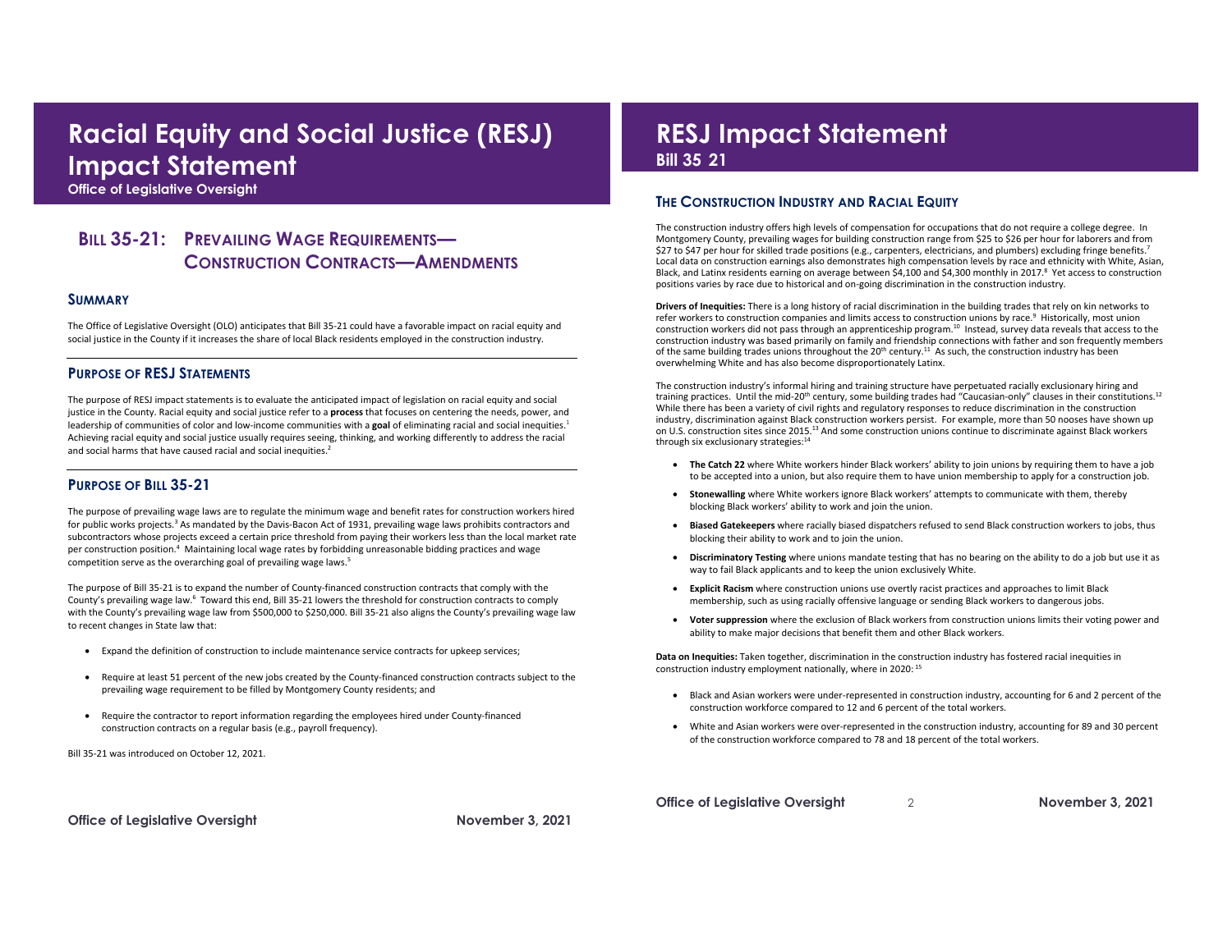## **Racial Equity and Social Justice (RESJ) Impact Statement**

 **Office of Legislative Oversight** 

### **BILL 35-21: PREVAILING WAGE REQUIREMENTS— CONSTRUCTION CONTRACTS—AMENDMENTS**

#### **SUMMARY**

 The Office of Legislative Oversight (OLO) anticipates that Bill 35-21 could have a favorable impact on racial equity and social justice in the County if it increases the share of local Black residents employed in the construction industry.

### **PURPOSE OF RESJ STATEMENTS**

 The purpose of RESJ impact statements is to evaluate the anticipated impact of legislation on racial equity and social justice in the County. Racial equity and social justice refer to a **process** that focuses on centering the needs, power, and leadership of communities of color and low-income communities with a goal of eliminating racial and social inequities.<sup>1</sup> Achieving racial equity and social justice usually requires seeing, thinking, and working differently to address the racial and social harms that have caused racial and social inequities.<sup>2</sup>

### **PURPOSE OF BILL 35-21**

 The purpose of prevailing wage laws are to regulate the minimum wage and benefit rates for construction workers hired for public works projects.<sup>3</sup> As mandated by the Davis-Bacon Act of 1931, prevailing wage laws prohibits contractors and subcontractors whose projects exceed a certain price threshold from paying their workers less than the local market rate per construction position.4 Maintaining local wage rates by forbidding unreasonable bidding practices and wage competition serve as the overarching goal of prevailing wage laws. 5

 The purpose of Bill 35-21 is to expand the number of County-financed construction contracts that comply with the County's prevailing wage law.<sup>6</sup> Toward this end, Bill 35-21 lowers the threshold for construction contracts to comply with the County's prevailing wage law from \$500,000 to \$250,000. Bill 35-21 also aligns the County's prevailing wage law to recent changes in State law that:

- Expand the definition of construction to include maintenance service contracts for upkeep services;
- • Require at least 51 percent of the new jobs created by the County-financed construction contracts subject to the prevailing wage requirement to be filled by Montgomery County residents; and
- • Require the contractor to report information regarding the employees hired under County-financed construction contracts on a regular basis (e.g., payroll frequency).

Bill 35-21 was introduced on October 12, 2021.

## **Bill 35 21 RESJ Impact Statement**

### **THE CONSTRUCTION INDUSTRY AND RACIAL EQUITY**

 The construction industry offers high levels of compensation for occupations that do not require a college degree. In Montgomery County, prevailing wages for building construction range from \$25 to \$26 per hour for laborers and from \$27 to \$47 per hour for skilled trade positions (e.g., carpenters, electricians, and plumbers) excluding fringe benefits.<sup>7</sup> Local data on construction earnings also demonstrates high compensation levels by race and ethnicity with White, Asian, Black, and Latinx residents earning on average between \$4,100 and \$4,300 monthly in 2017.<sup>8</sup> Yet access to construction positions varies by race due to historical and on-going discrimination in the construction industry.

 **Drivers of Inequities:** There is a long history of racial discrimination in the building trades that rely on kin networks to refer workers to construction companies and limits access to construction unions by race.<sup>9</sup> Historically, most union construction workers did not pass through an apprenticeship [program.](https://program.10)<sup>10</sup> Instead, survey data reveals that access to the of the same building trades unions throughout the  $20^{th}$  century.<sup>11</sup> As such, the construction industry has been construction industry was based primarily on family and friendship connections with father and son frequently members overwhelming White and has also become disproportionately Latinx.

training practices. Until the mid-20<sup>th</sup> century, some building trades had "Caucasian-only" clauses in their constitutions.<sup>12</sup> While there has been a variety of civil rights and regulatory responses to reduce discrimination in the construction on U.S. construction sites since 2015.<sup>13</sup> And some construction unions continue to discriminate against Black workers through six exclusionary strategies: 14 The construction industry's informal hiring and training structure have perpetuated racially exclusionary hiring and industry, discrimination against Black construction workers persist. For example, more than 50 nooses have shown up

- • **The Catch 22** where White workers hinder Black workers' ability to join unions by requiring them to have a job to be accepted into a union, but also require them to have union membership to apply for a construction job.
- blocking Black workers' ability to work and join the union. • **Stonewalling** where White workers ignore Black workers' attempts to communicate with them, thereby
- blocking their ability to work and to join the union. • **Biased Gatekeepers** where racially biased dispatchers refused to send Black construction workers to jobs, thus
- • **Discriminatory Testing** where unions mandate testing that has no bearing on the ability to do a job but use it as way to fail Black applicants and to keep the union exclusively White.
- membership, such as using racially offensive language or sending Black workers to dangerous jobs. • **Explicit Racism** where construction unions use overtly racist practices and approaches to limit Black
- • **Voter suppression** where the exclusion of Black workers from construction unions limits their voting power and ability to make major decisions that benefit them and other Black workers.

 **Data on Inequities:** Taken together, discrimination in the construction industry has fostered racial inequities in construction industry employment nationally, where in 2020: 15

- construction workforce compared to 12 and 6 percent of the total workers. • Black and Asian workers were under-represented in construction industry, accounting for 6 and 2 percent of the
- • White and Asian workers were over-represented in the construction industry, accounting for 89 and 30 percent of the construction workforce compared to 78 and 18 percent of the total workers.

**Office of Legislative Oversight November 3, 2021** 

 **Office of Legislative Oversight** 2 **November 3, 2021**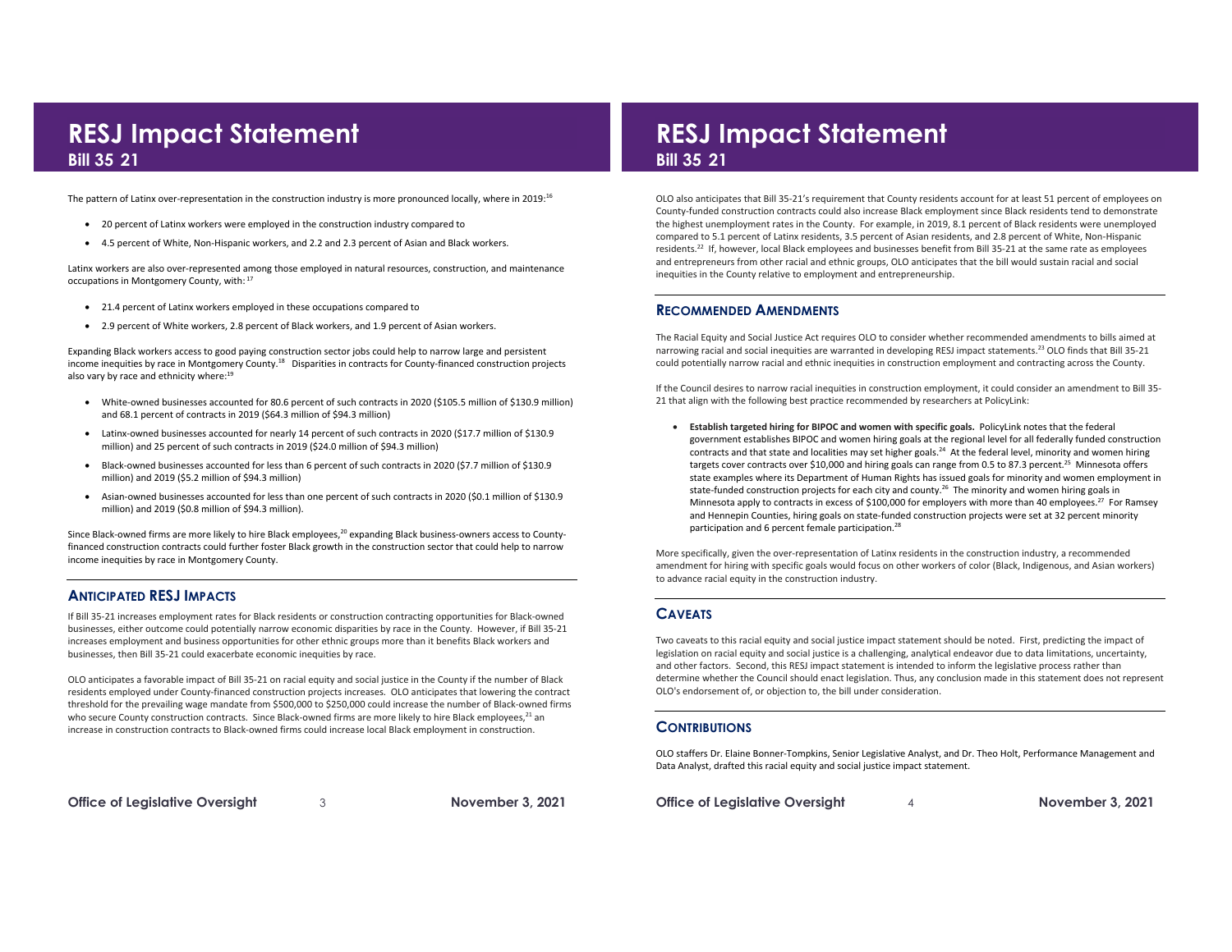# **21 Bill 35**

The pattern of Latinx over-representation in the construction industry is more pronounced locally, where in 2019:<sup>16</sup>

- 20 percent of Latinx workers were employed in the construction industry compared to
- 4.5 percent of White, Non-Hispanic workers, and 2.2 and 2.3 percent of Asian and Black workers.

occupations in Montgomery County, with: 17 Latinx workers are also over-represented among those employed in natural resources, construction, and maintenance

- 21.4 percent of Latinx workers employed in these occupations compared to
- 2.9 percent of White workers, 2.8 percent of Black workers, and 1.9 percent of Asian workers.

 Expanding Black workers access to good paying construction sector jobs could help to narrow large and persistent income inequities by race in Montgomery [County.](https://County.18)<sup>18</sup> Disparities in contracts for County-financed construction projects also vary by race and ethnicity where:<sup>19</sup>

- White-owned businesses accounted for 80.6 percent of such contracts in 2020 (\$105.5 million of \$130.9 million) and 68.1 percent of contracts in 2019 (\$64.3 million of \$94.3 million)
- million) and 25 percent of such contracts in 2019 (\$24.0 million of \$94.3 million) • Latinx-owned businesses accounted for nearly 14 percent of such contracts in 2020 (\$17.7 million of \$130.9
- million) and 2019 (\$5.2 million of \$94.3 million) • Black-owned businesses accounted for less than 6 percent of such contracts in 2020 (\$7.7 million of \$130.9
- • Asian-owned businesses accounted for less than one percent of such contracts in 2020 (\$0.1 million of \$130.9 million) and 2019 (\$0.8 million of \$94.3 million).

Since Black-owned firms are more likely to hire Black employees,<sup>20</sup> expanding Black business-owners access to County- financed construction contracts could further foster Black growth in the construction sector that could help to narrow income inequities by race in Montgomery County.

### **ANTICIPATED RESJ IMPACTS**

 If Bill 35-21 increases employment rates for Black residents or construction contracting opportunities for Black-owned businesses, either outcome could potentially narrow economic disparities by race in the County. However, if Bill 35-21 businesses, then Bill 35-21 could exacerbate economic inequities by race. increases employment and business opportunities for other ethnic groups more than it benefits Black workers and

businesses, then Bill 35-21 could exacerbate economic inequities by race.<br>OLO anticipates a favorable impact of Bill 35-21 on racial equity and social justice in the County if the number of Black residents employed under County-financed construction projects increases. OLO anticipates that lowering the contract threshold for the prevailing wage mandate from \$500,000 to \$250,000 could increase the number of Black-owned firms who secure County construction contracts. Since Black-owned firms are more likely to hire Black employees,<sup>21</sup> an increase in construction contracts to Black-owned firms could increase local Black employment in construction.

 **Office of Legislative Oversight** 3 **November 3, 2021** 

## **Bill 35 21 RESJ Impact Statement Bill 35 21 RESJ Impact Statement**

 OLO also anticipates that Bill 35-21's requirement that County residents account for at least 51 percent of employees on County-funded construction contracts could also increase Black employment since Black residents tend to demonstrate the highest unemployment rates in the County. For example, in 2019, 8.1 percent of Black residents were unemployed [residents.](https://residents.22)<sup>22</sup> If, however, local Black employees and businesses benefit from Bill 35-21 at the same rate as employees and entrepreneurs from other racial and ethnic groups, OLO anticipates that the bill would sustain racial and social compared to 5.1 percent of Latinx residents, 3.5 percent of Asian residents, and 2.8 percent of White, Non-Hispanic inequities in the County relative to employment and entrepreneurship.

### **RECOMMENDED AMENDMENTS**

 The Racial Equity and Social Justice Act requires OLO to consider whether recommended amendments to bills aimed at narrowing racial and social inequities are warranted in developing RESJ impact statements.<sup>23</sup> OLO finds that Bill 35-21 could potentially narrow racial and ethnic inequities in construction employment and contracting across the County.

 If the Council desires to narrow racial inequities in construction employment, it could consider an amendment to Bill 35- 21 that align with the following best practice recommended by researchers at PolicyLink:

 • **Establish targeted hiring for BIPOC and women with specific goals.** PolicyLink notes that the federal government establishes BIPOC and women hiring goals at the regional level for all federally funded construction contracts and that state and localities may set higher goals.<sup>24</sup> At the federal level, minority and women hiring targets cover contracts over \$10,000 and hiring goals can range from 0.5 to 87.3 [percent.](https://percent.25) 25 Minnesota offers state examples where its Department of Human Rights has issued goals for minority and women employment in state-funded construction projects for each city and county.<sup>26</sup> The minority and women hiring goals in Minnesota apply to contracts in excess of \$100,000 for employers with more than 40 employees.<sup>27</sup> For Ramsey and Hennepin Counties, hiring goals on state-funded construction projects were set at 32 percent minority participation and 6 percent female participation.<sup>28</sup>

 More specifically, given the over-representation of Latinx residents in the construction industry, a recommended amendment for hiring with specific goals would focus on other workers of color (Black, Indigenous, and Asian workers) to advance racial equity in the construction industry.

### **CAVEATS**

 Two caveats to this racial equity and social justice impact statement should be noted. First, predicting the impact of and other factors. Second, this RESJ impact statement is intended to inform the legislative process rather than determine whether the Council should enact legislation. Thus, any conclusion made in this statement does not represent OLO's endorsement of, or objection to, the bill under consideration. legislation on racial equity and social justice is a challenging, analytical endeavor due to data limitations, uncertainty,

### **CONTRIBUTIONS**

 OLO staffers Dr. Elaine Bonner-Tompkins, Senior Legislative Analyst, and Dr. Theo Holt, Performance Management and Data Analyst, drafted this racial equity and social justice impact statement.

 **Office of Legislative Oversight** 4 **November 3, 2021**